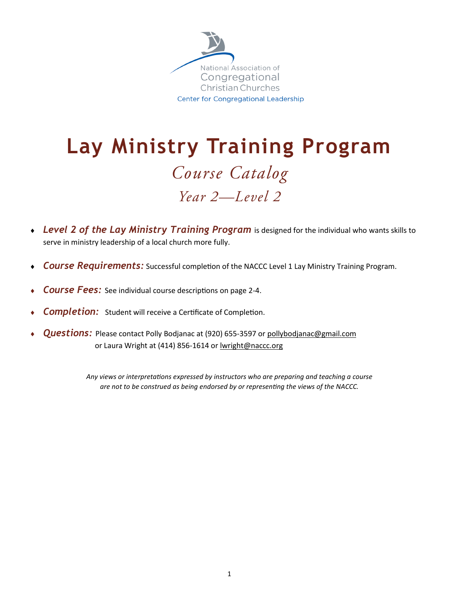

## **Lay Ministry Training Program** Course Catalog Year 2-Level 2

- *Level 2 of the Lay Ministry Training Program* is designed for the individual who wants skills to serve in ministry leadership of a local church more fully.
- *Course Requirements:* Successful completion of the NACCC Level 1 Lay Ministry Training Program.
- *Course Fees:* See individual course descriptions on page 2-4.
- **Completion:** Student will receive a Certificate of Completion.
- **Questions:** Please contact Polly Bodjanac at (920) 655-3597 or pollybodjanac@gmail.com or Laura Wright at (414) 856-1614 or [lwright@naccc.org](mailto:lwright@naccc.org?subject=Lay%20Ministry%20Training%20Program)

*Any views or interpretations expressed by instructors who are preparing and teaching a course are not to be construed as being endorsed by or representing the views of the NACCC.*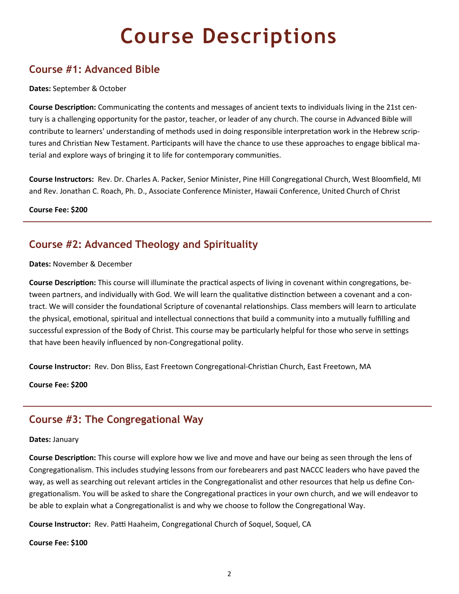## **Course Descriptions**

## **Course #1: Advanced Bible**

#### **Dates:** September & October

**Course Description:** Communicating the contents and messages of ancient texts to individuals living in the 21st century is a challenging opportunity for the pastor, teacher, or leader of any church. The course in Advanced Bible will contribute to learners' understanding of methods used in doing responsible interpretation work in the Hebrew scriptures and Christian New Testament. Participants will have the chance to use these approaches to engage biblical material and explore ways of bringing it to life for contemporary communities.

**Course Instructors:** Rev. Dr. Charles A. Packer, Senior Minister, Pine Hill Congregational Church, West Bloomfield, MI and Rev. Jonathan C. Roach, Ph. D., Associate Conference Minister, Hawaii Conference, United Church of Christ

**Course Fee: \$200**

## **Course #2: Advanced Theology and Spirituality**

#### **Dates:** November & December

**Course Description:** This course will illuminate the practical aspects of living in covenant within congregations, between partners, and individually with God. We will learn the qualitative distinction between a covenant and a contract. We will consider the foundational Scripture of covenantal relationships. Class members will learn to articulate the physical, emotional, spiritual and intellectual connections that build a community into a mutually fulfilling and successful expression of the Body of Christ. This course may be particularly helpful for those who serve in settings that have been heavily influenced by non-Congregational polity.

**Course Instructor:** Rev. Don Bliss, East Freetown Congregational-Christian Church, East Freetown, MA

**Course Fee: \$200**

## **Course #3: The Congregational Way**

#### **Dates:** January

**Course Description:** This course will explore how we live and move and have our being as seen through the lens of Congregationalism. This includes studying lessons from our forebearers and past NACCC leaders who have paved the way, as well as searching out relevant articles in the Congregationalist and other resources that help us define Congregationalism. You will be asked to share the Congregational practices in your own church, and we will endeavor to be able to explain what a Congregationalist is and why we choose to follow the Congregational Way.

**Course Instructor:** Rev. Patti Haaheim, Congregational Church of Soquel, Soquel, CA

#### **Course Fee: \$100**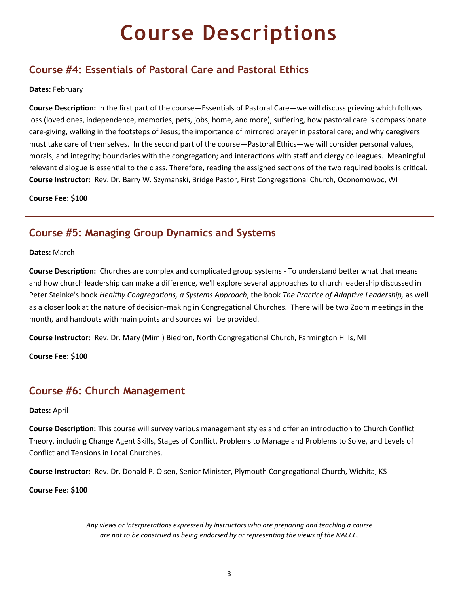# **Course Descriptions**

### **Course #4: Essentials of Pastoral Care and Pastoral Ethics**

#### **Dates:** February

**Course Description:** In the first part of the course—Essentials of Pastoral Care—we will discuss grieving which follows loss (loved ones, independence, memories, pets, jobs, home, and more), suffering, how pastoral care is compassionate care-giving, walking in the footsteps of Jesus; the importance of mirrored prayer in pastoral care; and why caregivers must take care of themselves. In the second part of the course—Pastoral Ethics—we will consider personal values, morals, and integrity; boundaries with the congregation; and interactions with staff and clergy colleagues. Meaningful relevant dialogue is essential to the class. Therefore, reading the assigned sections of the two required books is critical. **Course Instructor:** Rev. Dr. Barry W. Szymanski, Bridge Pastor, First Congregational Church, Oconomowoc, WI

**Course Fee: \$100**

### **Course #5: Managing Group Dynamics and Systems**

#### **Dates:** March

**Course Description:** Churches are complex and complicated group systems - To understand better what that means and how church leadership can make a difference, we'll explore several approaches to church leadership discussed in Peter Steinke's book *Healthy Congregations, a Systems Approach*, the book *The Practice of Adaptive Leadership,* as well as a closer look at the nature of decision-making in Congregational Churches. There will be two Zoom meetings in the month, and handouts with main points and sources will be provided.

**Course Instructor:** Rev. Dr. Mary (Mimi) Biedron, North Congregational Church, Farmington Hills, MI

**Course Fee: \$100**

### **Course #6: Church Management**

#### **Dates:** April

**Course Description:** This course will survey various management styles and offer an introduction to Church Conflict Theory, including Change Agent Skills, Stages of Conflict, Problems to Manage and Problems to Solve, and Levels of Conflict and Tensions in Local Churches.

**Course Instructor:** Rev. Dr. Donald P. Olsen, Senior Minister, Plymouth Congregational Church, Wichita, KS

#### **Course Fee: \$100**

*Any views or interpretations expressed by instructors who are preparing and teaching a course are not to be construed as being endorsed by or representing the views of the NACCC.*